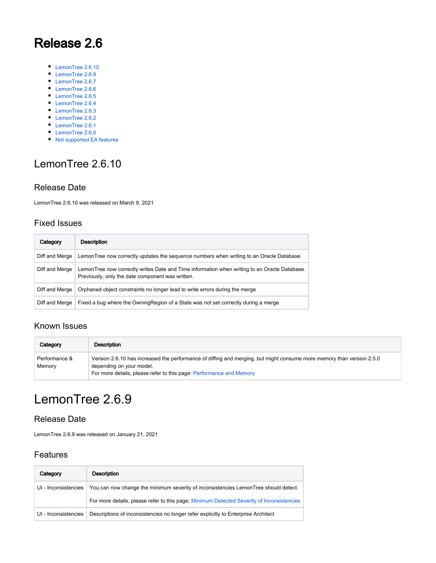# Release 2.6

- [LemonTree 2.6.10](#page-0-0)
- [LemonTree 2.6.8](#page-1-0)
- [LemonTree 2.6.7](#page-1-1)
- [LemonTree 2.6.6](#page-1-2) ● [LemonTree 2.6.5](#page-2-0)
- [LemonTree 2.6.4](#page-3-0)
- [LemonTree 2.6.3](#page-4-0)
- [LemonTree 2.6.2](#page-5-0)
- [LemonTree 2.6.1](#page-6-0)
- [LemonTree 2.6.0](#page-7-0)
- 

## [Not supported EA features](#page-8-0)

# <span id="page-0-0"></span>LemonTree 2.6.10

#### Release Date

LemonTree 2.6.10 was released on March 9, 2021

#### Fixed Issues

| Category       | Description                                                                                                                                      |
|----------------|--------------------------------------------------------------------------------------------------------------------------------------------------|
| Diff and Merge | LemonTree now correctly updates the sequence numbers when writing to an Oracle Database                                                          |
| Diff and Merge | LemonTree now correctly writes Date and Time information when writing to an Oracle Database.<br>Previously, only the date component was written. |
| Diff and Merge | Orphaned object constraints no longer lead to write errors during the merge                                                                      |
| Diff and Merge | Fixed a bug where the OwningRegion of a State was not set correctly during a merge                                                               |

#### Known Issues

| Category                | <b>Description</b>                                                                                                                                                                                                       |
|-------------------------|--------------------------------------------------------------------------------------------------------------------------------------------------------------------------------------------------------------------------|
| Performance &<br>Memory | Version 2.6.10 has increased the performance of diffing and merging, but might consume more memory than version 2.5.0<br>depending on your model.<br>For more details, please refer to this page: Performance and Memory |

# LemonTree 2.6.9

#### Release Date

LemonTree 2.6.9 was released on January 21, 2021

### Features

| Category             | Description                                                                               |
|----------------------|-------------------------------------------------------------------------------------------|
| UI - Inconsistencies | You can now change the minimum severity of inconsistencies LemonTree should detect.       |
|                      | For more details, please refer to this page: Minimum Detected Severity of Inconsistencies |
| UI - Inconsistencies | Descriptions of inconsistencies no longer refer explicitly to Enterprise Architect        |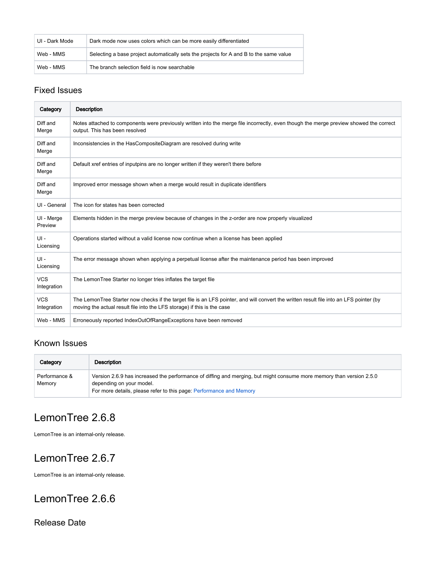| UI - Dark Mode | Dark mode now uses colors which can be more easily differentiated                      |
|----------------|----------------------------------------------------------------------------------------|
| Web - MMS      | Selecting a base project automatically sets the projects for A and B to the same value |
| Web - MMS      | The branch selection field is now searchable                                           |

### Fixed Issues

| Category                  | <b>Description</b>                                                                                                                                                                                                 |
|---------------------------|--------------------------------------------------------------------------------------------------------------------------------------------------------------------------------------------------------------------|
| Diff and<br>Merge         | Notes attached to components were previously written into the merge file incorrectly, even though the merge preview showed the correct<br>output. This has been resolved                                           |
| Diff and<br>Merge         | Inconsistencies in the HasCompositeDiagram are resolved during write                                                                                                                                               |
| Diff and<br>Merge         | Default xref entries of inputpins are no longer written if they weren't there before                                                                                                                               |
| Diff and<br>Merge         | Improved error message shown when a merge would result in duplicate identifiers                                                                                                                                    |
| UI - General              | The icon for states has been corrected                                                                                                                                                                             |
| UI - Merge<br>Preview     | Elements hidden in the merge preview because of changes in the z-order are now properly visualized                                                                                                                 |
| $UI -$<br>Licensing       | Operations started without a valid license now continue when a license has been applied                                                                                                                            |
| $UI -$<br>Licensing       | The error message shown when applying a perpetual license after the maintenance period has been improved                                                                                                           |
| <b>VCS</b><br>Integration | The LemonTree Starter no longer tries inflates the target file                                                                                                                                                     |
| <b>VCS</b><br>Integration | The LemonTree Starter now checks if the target file is an LFS pointer, and will convert the written result file into an LFS pointer (by<br>moving the actual result file into the LFS storage) if this is the case |
| Web - MMS                 | Erroneously reported IndexOutOfRangeExceptions have been removed                                                                                                                                                   |

# Known Issues

| Category                | Description                                                                                                                                                                                                             |
|-------------------------|-------------------------------------------------------------------------------------------------------------------------------------------------------------------------------------------------------------------------|
| Performance &<br>Memory | Version 2.6.9 has increased the performance of diffing and merging, but might consume more memory than version 2.5.0<br>depending on your model.<br>For more details, please refer to this page: Performance and Memory |

# <span id="page-1-0"></span>LemonTree 2.6.8

LemonTree is an internal-only release.

# <span id="page-1-1"></span>LemonTree 2.6.7

LemonTree is an internal-only release.

# <span id="page-1-2"></span>LemonTree 2.6.6

Release Date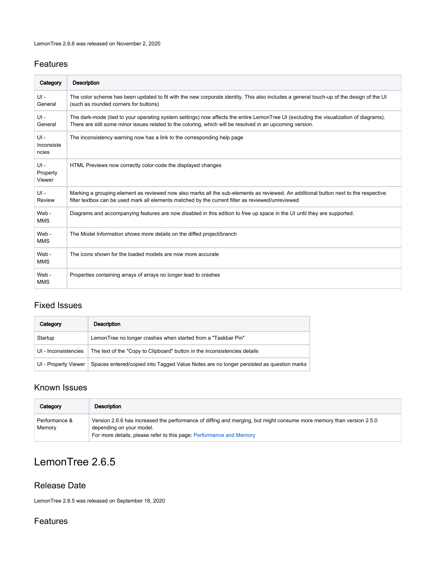### Features

| Category                      | Description                                                                                                                                                                                                                                        |
|-------------------------------|----------------------------------------------------------------------------------------------------------------------------------------------------------------------------------------------------------------------------------------------------|
| $UI -$<br>General             | The color scheme has been updated to fit with the new corporate identity. This also includes a general touch-up of the design of the UI<br>(such as rounded corners for buttons)                                                                   |
| $UI -$<br>General             | The dark-mode (tied to your operating system settings) now affects the entire LemonTree UI (excluding the visualization of diagrams).<br>There are still some minor issues related to the coloring, which will be resolved in an upcoming version. |
| $UI -$<br>Inconsiste<br>ncies | The inconsistency warning now has a link to the corresponding help page                                                                                                                                                                            |
| $UI -$<br>Property<br>Viewer  | HTML Previews now correctly color-code the displayed changes                                                                                                                                                                                       |
| $UI -$<br>Review              | Marking a grouping element as reviewed now also marks all the sub-elements as reviewed. An additional button next to the respective<br>filter textbox can be used mark all elements matched by the current filter as reviewed/unreviewed           |
| Web -<br><b>MMS</b>           | Diagrams and accompanying features are now disabled in this edition to free up space in the UI until they are supported.                                                                                                                           |
| Web -<br><b>MMS</b>           | The Model Information shows more details on the diffed project/branch                                                                                                                                                                              |
| Web -<br><b>MMS</b>           | The icons shown for the loaded models are now more accurate                                                                                                                                                                                        |
| Web -<br><b>MMS</b>           | Properties containing arrays of arrays no longer lead to crashes                                                                                                                                                                                   |

### Fixed Issues

| Category             | Description                                                                             |
|----------------------|-----------------------------------------------------------------------------------------|
| Startup              | LemonTree no longer crashes when started from a "Taskbar Pin"                           |
| UI - Inconsistencies | The text of the "Copy to Clipboard" button in the inconsistencies details               |
| UI - Property Viewer | Spaces entered/copied into Tagged Value Notes are no longer persisted as question marks |

# Known Issues

| Category                | Description                                                                                                                                                                                                             |
|-------------------------|-------------------------------------------------------------------------------------------------------------------------------------------------------------------------------------------------------------------------|
| Performance &<br>Memory | Version 2.6.6 has increased the performance of diffing and merging, but might consume more memory than version 2.5.0<br>depending on your model.<br>For more details, please refer to this page: Performance and Memory |

# <span id="page-2-0"></span>LemonTree 2.6.5

### Release Date

LemonTree 2.6.5 was released on September 18, 2020

## Features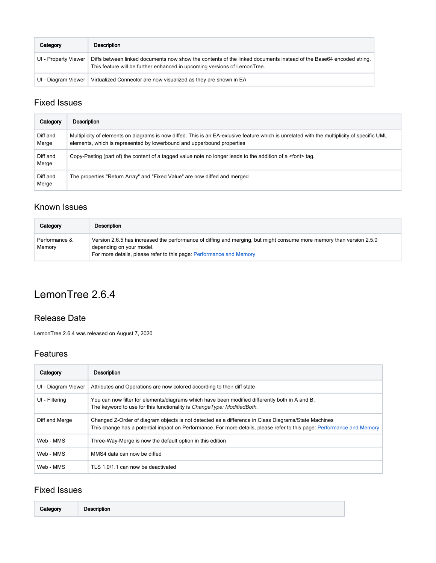| Category             | Description                                                                                                                                                                                    |
|----------------------|------------------------------------------------------------------------------------------------------------------------------------------------------------------------------------------------|
| UI - Property Viewer | Diffs between linked documents now show the contents of the linked documents instead of the Base64 encoded string.<br>This feature will be further enhanced in upcoming versions of LemonTree. |
| UI - Diagram Viewer  | Virtualized Connector are now visualized as they are shown in EA                                                                                                                               |

## Fixed Issues

| Category          | Description                                                                                                                                                                                                           |
|-------------------|-----------------------------------------------------------------------------------------------------------------------------------------------------------------------------------------------------------------------|
| Diff and<br>Merge | Multiplicity of elements on diagrams is now diffed. This is an EA-exlusive feature which is unrelated with the multiplicity of specific UML<br>elements, which is represented by lowerbound and upperbound properties |
| Diff and<br>Merge | Copy-Pasting (part of) the content of a tagged value note no longer leads to the addition of a <font> tag.</font>                                                                                                     |
| Diff and<br>Merge | The properties "Return Array" and "Fixed Value" are now diffed and merged                                                                                                                                             |

# Known Issues

| Category                | Description                                                                                                                                                                                                             |
|-------------------------|-------------------------------------------------------------------------------------------------------------------------------------------------------------------------------------------------------------------------|
| Performance &<br>Memory | Version 2.6.5 has increased the performance of diffing and merging, but might consume more memory than version 2.5.0<br>depending on your model.<br>For more details, please refer to this page: Performance and Memory |

# <span id="page-3-0"></span>LemonTree 2.6.4

### Release Date

LemonTree 2.6.4 was released on August 7, 2020

#### Features

| Category            | <b>Description</b>                                                                                                                                                                                                            |
|---------------------|-------------------------------------------------------------------------------------------------------------------------------------------------------------------------------------------------------------------------------|
| UI - Diagram Viewer | Attributes and Operations are now colored according to their diff state                                                                                                                                                       |
| UI - Filtering      | You can now filter for elements/diagrams which have been modified differently both in A and B.<br>The keyword to use for this functionality is <i>ChangeType: ModifiedBoth</i> .                                              |
| Diff and Merge      | Changed Z-Order of diagram objects is not detected as a difference in Class Diagrams/State Machines<br>This change has a potential impact on Performance. For more details, please refer to this page: Performance and Memory |
| Web - MMS           | Three-Way-Merge is now the default option in this edition                                                                                                                                                                     |
| Web - MMS           | MMS4 data can now be diffed                                                                                                                                                                                                   |
| Web - MMS           | TLS 1.0/1.1 can now be deactivated                                                                                                                                                                                            |

| Category |
|----------|
|----------|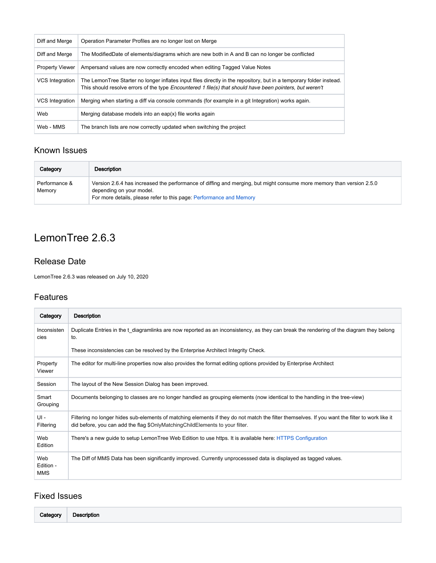| Diff and Merge         | Operation Parameter Profiles are no longer lost on Merge                                                                                                                                                                        |
|------------------------|---------------------------------------------------------------------------------------------------------------------------------------------------------------------------------------------------------------------------------|
| Diff and Merge         | The ModifiedDate of elements/diagrams which are new both in A and B can no longer be conflicted                                                                                                                                 |
| <b>Property Viewer</b> | Ampersand values are now correctly encoded when editing Tagged Value Notes                                                                                                                                                      |
| VCS Integration        | The LemonTree Starter no longer inflates input files directly in the repository, but in a temporary folder instead.<br>This should resolve errors of the type Encountered 1 file(s) that should have been pointers, but weren't |
| <b>VCS</b> Integration | Merging when starting a diff via console commands (for example in a git Integration) works again.                                                                                                                               |
| Web                    | Merging database models into an eap(x) file works again                                                                                                                                                                         |
| Web - MMS              | The branch lists are now correctly updated when switching the project                                                                                                                                                           |

| Category                | Description                                                                                                                                                                                                             |
|-------------------------|-------------------------------------------------------------------------------------------------------------------------------------------------------------------------------------------------------------------------|
| Performance &<br>Memory | Version 2.6.4 has increased the performance of diffing and merging, but might consume more memory than version 2.5.0<br>depending on your model.<br>For more details, please refer to this page: Performance and Memory |

# <span id="page-4-0"></span>LemonTree 2.6.3

### Release Date

LemonTree 2.6.3 was released on July 10, 2020

### Features

| Category                       | Description                                                                                                                                                                                                                    |
|--------------------------------|--------------------------------------------------------------------------------------------------------------------------------------------------------------------------------------------------------------------------------|
| Inconsisten<br>cies            | Duplicate Entries in the t diagramlinks are now reported as an inconsistency, as they can break the rendering of the diagram they belong<br>to.                                                                                |
|                                | These inconsistencies can be resolved by the Enterprise Architect Integrity Check.                                                                                                                                             |
| Property<br>Viewer             | The editor for multi-line properties now also provides the format editing options provided by Enterprise Architect                                                                                                             |
| Session                        | The layout of the New Session Dialog has been improved.                                                                                                                                                                        |
| Smart<br>Grouping              | Documents belonging to classes are no longer handled as grouping elements (now identical to the handling in the tree-view)                                                                                                     |
| $UI -$<br>Filtering            | Filtering no longer hides sub-elements of matching elements if they do not match the filter themselves. If you want the filter to work like it<br>did before, you can add the flag \$OnlyMatchingChildElements to your filter. |
| Web<br>Edition                 | There's a new guide to setup LemonTree Web Edition to use https. It is available here: HTTPS Configuration                                                                                                                     |
| Web<br>Edition -<br><b>MMS</b> | The Diff of MMS Data has been significantly improved. Currently unprocesssed data is displayed as tagged values.                                                                                                               |

| Category<br>$ -$ | <b>Description</b> |  |  |
|------------------|--------------------|--|--|
|------------------|--------------------|--|--|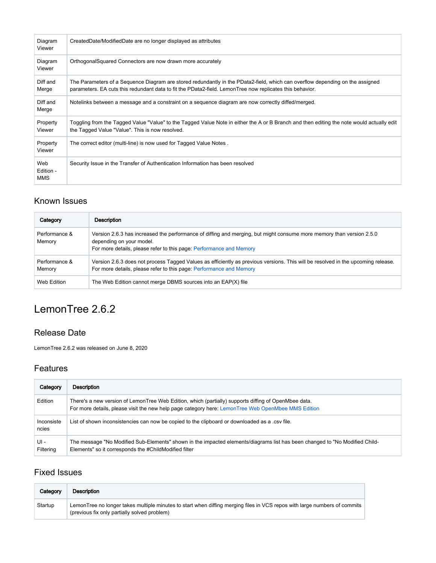| Diagram<br>Viewer              | CreatedDate/ModifiedDate are no longer displayed as attributes                                                                                                                                                                            |
|--------------------------------|-------------------------------------------------------------------------------------------------------------------------------------------------------------------------------------------------------------------------------------------|
| Diagram<br>Viewer              | Orthogonal Squared Connectors are now drawn more accurately                                                                                                                                                                               |
| Diff and<br>Merge              | The Parameters of a Sequence Diagram are stored redundantly in the PData2-field, which can overflow depending on the assigned<br>parameters. EA cuts this redundant data to fit the PData2-field. LemonTree now replicates this behavior. |
| Diff and<br>Merge              | Notelinks between a message and a constraint on a seguence diagram are now correctly diffed/merged.                                                                                                                                       |
| Property<br>Viewer             | Toggling from the Tagged Value "Value" to the Tagged Value Note in either the A or B Branch and then editing the note would actually edit<br>the Tagged Value "Value". This is now resolved.                                              |
| Property<br>Viewer             | The correct editor (multi-line) is now used for Tagged Value Notes.                                                                                                                                                                       |
| Web<br>Edition -<br><b>MMS</b> | Security Issue in the Transfer of Authentication Information has been resolved                                                                                                                                                            |

| Category                | <b>Description</b>                                                                                                                                                                                                      |
|-------------------------|-------------------------------------------------------------------------------------------------------------------------------------------------------------------------------------------------------------------------|
| Performance &<br>Memory | Version 2.6.3 has increased the performance of diffing and merging, but might consume more memory than version 2.5.0<br>depending on your model.<br>For more details, please refer to this page: Performance and Memory |
| Performance &<br>Memory | Version 2.6.3 does not process Tagged Values as efficiently as previous versions. This will be resolved in the upcoming release.<br>For more details, please refer to this page: Performance and Memory                 |
| Web Edition             | The Web Edition cannot merge DBMS sources into an EAP(X) file                                                                                                                                                           |

# <span id="page-5-0"></span>LemonTree 2.6.2

### Release Date

LemonTree 2.6.2 was released on June 8, 2020

### Features

| Category            | <b>Description</b>                                                                                                                                                                                         |
|---------------------|------------------------------------------------------------------------------------------------------------------------------------------------------------------------------------------------------------|
| Edition             | There's a new version of LemonTree Web Edition, which (partially) supports diffing of OpenMbee data.<br>For more details, please visit the new help page category here: LemonTree Web OpenMbee MMS Edition |
| Inconsiste<br>ncies | List of shown inconsistencies can now be copied to the clipboard or downloaded as a .csv file.                                                                                                             |
| UI-<br>Filtering    | The message "No Modified Sub-Elements" shown in the impacted elements/diagrams list has been changed to "No Modified Child-<br>Elements" so it corresponds the #ChildModified filter                       |

| Category | Description                                                                                                                                                               |
|----------|---------------------------------------------------------------------------------------------------------------------------------------------------------------------------|
| Startup  | LemonTree no longer takes multiple minutes to start when diffing merging files in VCS repos with large numbers of commits<br>(previous fix only partially solved problem) |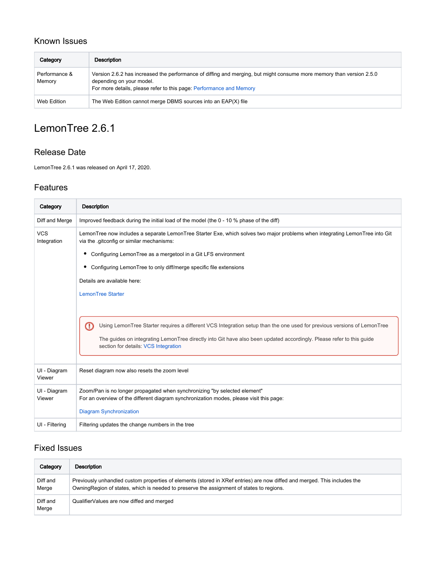| Category                | Description                                                                                                                                                                                                             |
|-------------------------|-------------------------------------------------------------------------------------------------------------------------------------------------------------------------------------------------------------------------|
| Performance &<br>Memory | Version 2.6.2 has increased the performance of diffing and merging, but might consume more memory than version 2.5.0<br>depending on your model.<br>For more details, please refer to this page: Performance and Memory |
| Web Edition             | The Web Edition cannot merge DBMS sources into an EAP(X) file                                                                                                                                                           |

# <span id="page-6-0"></span>LemonTree 2.6.1

### Release Date

LemonTree 2.6.1 was released on April 17, 2020.

#### Features

| Category                  | <b>Description</b>                                                                                                                                                                                                                                                                           |
|---------------------------|----------------------------------------------------------------------------------------------------------------------------------------------------------------------------------------------------------------------------------------------------------------------------------------------|
| Diff and Merge            | Improved feedback during the initial load of the model (the 0 - 10 % phase of the diff)                                                                                                                                                                                                      |
| <b>VCS</b><br>Integration | LemonTree now includes a separate LemonTree Starter Exe, which solves two major problems when integrating LemonTree into Git<br>via the .gitconfig or similar mechanisms:                                                                                                                    |
|                           | Configuring LemonTree as a mergetool in a Git LFS environment                                                                                                                                                                                                                                |
|                           | Configuring LemonTree to only diff/merge specific file extensions                                                                                                                                                                                                                            |
|                           | Details are available here:                                                                                                                                                                                                                                                                  |
|                           | <b>LemonTree Starter</b>                                                                                                                                                                                                                                                                     |
|                           | Œ<br>Using LemonTree Starter requires a different VCS Integration setup than the one used for previous versions of LemonTree<br>The guides on integrating LemonTree directly into Git have also been updated accordingly. Please refer to this guide<br>section for details: VCS Integration |
| UI - Diagram<br>Viewer    | Reset diagram now also resets the zoom level                                                                                                                                                                                                                                                 |
| UI - Diagram<br>Viewer    | Zoom/Pan is no longer propagated when synchronizing "by selected element"<br>For an overview of the different diagram synchronization modes, please visit this page:                                                                                                                         |
|                           | <b>Diagram Synchronization</b>                                                                                                                                                                                                                                                               |
| UI - Filtering            | Filtering updates the change numbers in the tree                                                                                                                                                                                                                                             |

| Category          | Description                                                                                                                                                                                                           |
|-------------------|-----------------------------------------------------------------------------------------------------------------------------------------------------------------------------------------------------------------------|
| Diff and<br>Merge | Previously unhandled custom properties of elements (stored in XRef entries) are now diffed and merged. This includes the<br>Owning Region of states, which is needed to preserve the assignment of states to regions. |
| Diff and<br>Merge | QualifierValues are now diffed and merged                                                                                                                                                                             |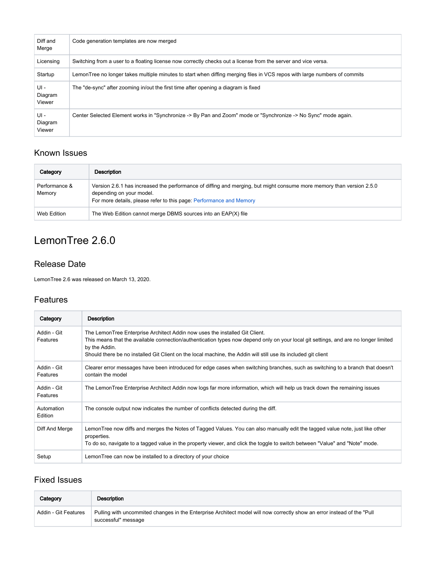| Diff and<br>Merge         | Code generation templates are now merged                                                                                  |
|---------------------------|---------------------------------------------------------------------------------------------------------------------------|
| Licensing                 | Switching from a user to a floating license now correctly checks out a license from the server and vice versa.            |
| Startup                   | LemonTree no longer takes multiple minutes to start when diffing merging files in VCS repos with large numbers of commits |
| UI -<br>Diagram<br>Viewer | The "de-sync" after zooming in/out the first time after opening a diagram is fixed                                        |
| UI -<br>Diagram<br>Viewer | Center Selected Element works in "Synchronize -> By Pan and Zoom" mode or "Synchronize -> No Sync" mode again.            |

| Category                | Description                                                                                                                                                                                                             |
|-------------------------|-------------------------------------------------------------------------------------------------------------------------------------------------------------------------------------------------------------------------|
| Performance &<br>Memory | Version 2.6.1 has increased the performance of diffing and merging, but might consume more memory than version 2.5.0<br>depending on your model.<br>For more details, please refer to this page: Performance and Memory |
| Web Edition             | The Web Edition cannot merge DBMS sources into an EAP(X) file                                                                                                                                                           |

# <span id="page-7-0"></span>LemonTree 2.6.0

### Release Date

LemonTree 2.6 was released on March 13, 2020.

#### Features

| Category                | Description                                                                                                                                                                                                                                                                                                                                           |
|-------------------------|-------------------------------------------------------------------------------------------------------------------------------------------------------------------------------------------------------------------------------------------------------------------------------------------------------------------------------------------------------|
| Addin - Git<br>Features | The LemonTree Enterprise Architect Addin now uses the installed Git Client.<br>This means that the available connection/authentication types now depend only on your local git settings, and are no longer limited<br>by the Addin.<br>Should there be no installed Git Client on the local machine, the Addin will still use its included git client |
| Addin - Git<br>Features | Clearer error messages have been introduced for edge cases when switching branches, such as switching to a branch that doesn't<br>contain the model                                                                                                                                                                                                   |
| Addin - Git<br>Features | The LemonTree Enterprise Architect Addin now logs far more information, which will help us track down the remaining issues                                                                                                                                                                                                                            |
| Automation<br>Edition   | The console output now indicates the number of conflicts detected during the diff.                                                                                                                                                                                                                                                                    |
| Diff And Merge          | LemonTree now diffs and merges the Notes of Tagged Values. You can also manually edit the tagged value note, just like other<br>properties.<br>To do so, navigate to a tagged value in the property viewer, and click the toggle to switch between "Value" and "Note" mode.                                                                           |
| Setup                   | Lemon Tree can now be installed to a directory of your choice                                                                                                                                                                                                                                                                                         |

| Category             | Description                                                                                                                                     |
|----------------------|-------------------------------------------------------------------------------------------------------------------------------------------------|
| Addin - Git Features | Pulling with uncommited changes in the Enterprise Architect model will now correctly show an error instead of the "Pull"<br>successful" message |